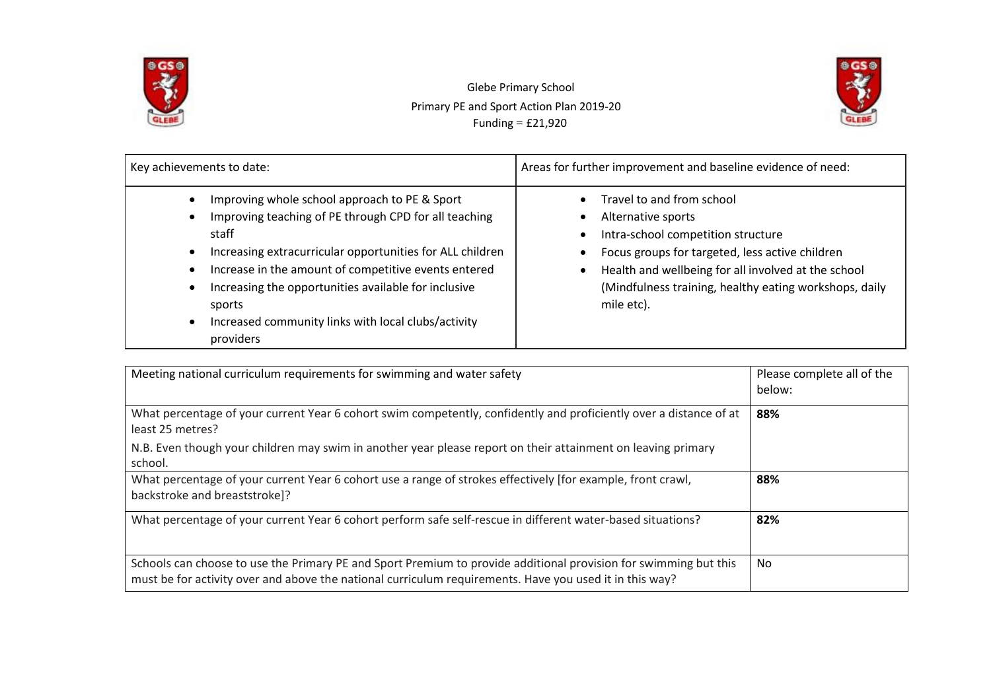

 Glebe Primary School Primary PE and Sport Action Plan 2019-20 Funding = £21,920



| Key achievements to date:                                                                                                                                                                                                                                                                                                                                                                                                                                | Areas for further improvement and baseline evidence of need:                                                                                                                                                                                                            |  |  |
|----------------------------------------------------------------------------------------------------------------------------------------------------------------------------------------------------------------------------------------------------------------------------------------------------------------------------------------------------------------------------------------------------------------------------------------------------------|-------------------------------------------------------------------------------------------------------------------------------------------------------------------------------------------------------------------------------------------------------------------------|--|--|
| Improving whole school approach to PE & Sport<br>$\bullet$<br>Improving teaching of PE through CPD for all teaching<br>$\bullet$<br>staff<br>Increasing extracurricular opportunities for ALL children<br>$\bullet$<br>Increase in the amount of competitive events entered<br>$\bullet$<br>Increasing the opportunities available for inclusive<br>$\bullet$<br>sports<br>Increased community links with local clubs/activity<br>$\bullet$<br>providers | Travel to and from school<br>Alternative sports<br>Intra-school competition structure<br>Focus groups for targeted, less active children<br>Health and wellbeing for all involved at the school<br>(Mindfulness training, healthy eating workshops, daily<br>mile etc). |  |  |

| Meeting national curriculum requirements for swimming and water safety                                                                                                                                                      | Please complete all of the<br>below: |
|-----------------------------------------------------------------------------------------------------------------------------------------------------------------------------------------------------------------------------|--------------------------------------|
| What percentage of your current Year 6 cohort swim competently, confidently and proficiently over a distance of at<br>least 25 metres?                                                                                      | 88%                                  |
| N.B. Even though your children may swim in another year please report on their attainment on leaving primary<br>school.                                                                                                     |                                      |
| What percentage of your current Year 6 cohort use a range of strokes effectively [for example, front crawl,<br>backstroke and breaststroke]?                                                                                | 88%                                  |
| What percentage of your current Year 6 cohort perform safe self-rescue in different water-based situations?                                                                                                                 | 82%                                  |
| Schools can choose to use the Primary PE and Sport Premium to provide additional provision for swimming but this<br>must be for activity over and above the national curriculum requirements. Have you used it in this way? | No                                   |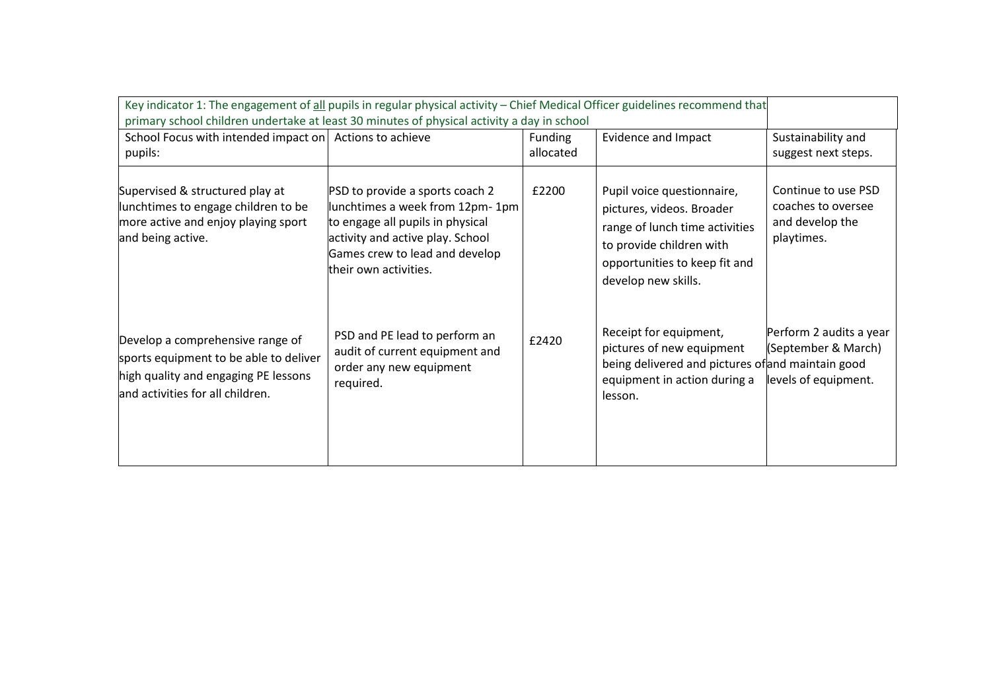| Key indicator 1: The engagement of all pupils in regular physical activity - Chief Medical Officer guidelines recommend that<br>primary school children undertake at least 30 minutes of physical activity a day in school |                                                                                                                                                                                                       |                      |                                                                                                                                                                               |                                                                            |  |
|----------------------------------------------------------------------------------------------------------------------------------------------------------------------------------------------------------------------------|-------------------------------------------------------------------------------------------------------------------------------------------------------------------------------------------------------|----------------------|-------------------------------------------------------------------------------------------------------------------------------------------------------------------------------|----------------------------------------------------------------------------|--|
| School Focus with intended impact on Actions to achieve<br>pupils:                                                                                                                                                         |                                                                                                                                                                                                       | Funding<br>allocated | <b>Evidence and Impact</b>                                                                                                                                                    | Sustainability and<br>suggest next steps.                                  |  |
| Supervised & structured play at<br>lunchtimes to engage children to be<br>more active and enjoy playing sport<br>and being active.                                                                                         | PSD to provide a sports coach 2<br>lunchtimes a week from 12pm-1pm<br>to engage all pupils in physical<br>activity and active play. School<br>Games crew to lead and develop<br>their own activities. | £2200                | Pupil voice questionnaire,<br>pictures, videos. Broader<br>range of lunch time activities<br>to provide children with<br>opportunities to keep fit and<br>develop new skills. | Continue to use PSD<br>coaches to oversee<br>and develop the<br>playtimes. |  |
| Develop a comprehensive range of<br>sports equipment to be able to deliver<br>high quality and engaging PE lessons<br>and activities for all children.                                                                     | PSD and PE lead to perform an<br>audit of current equipment and<br>order any new equipment<br>required.                                                                                               | £2420                | Receipt for equipment,<br>pictures of new equipment<br>being delivered and pictures of and maintain good<br>equipment in action during a<br>lesson.                           | Perform 2 audits a year<br>(September & March)<br>levels of equipment.     |  |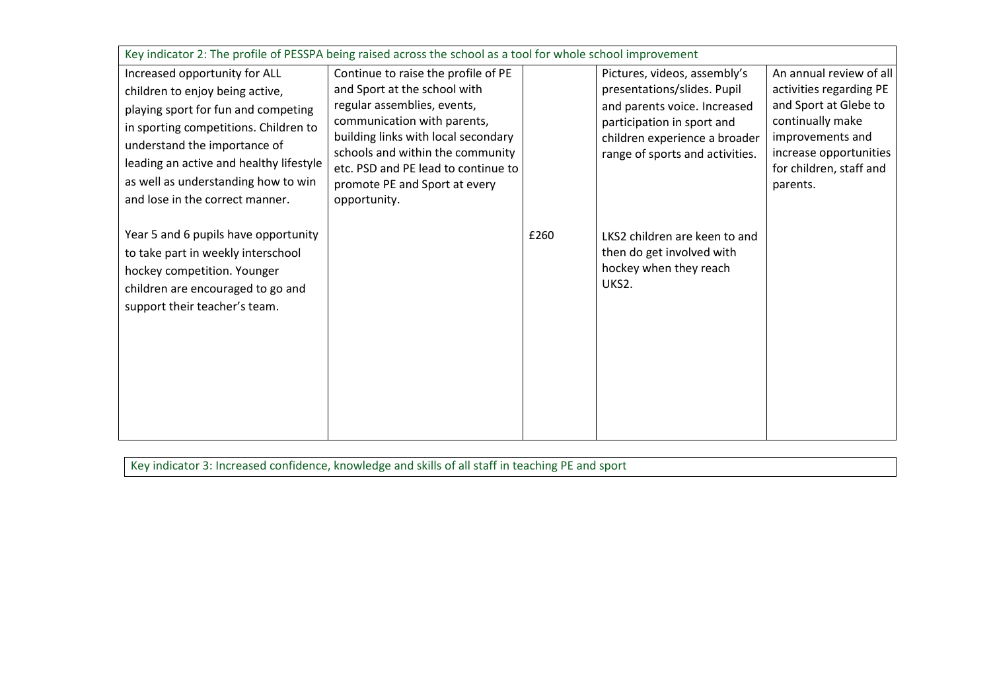| Key indicator 2: The profile of PESSPA being raised across the school as a tool for whole school improvement |                                                                    |      |                                                                  |                                            |
|--------------------------------------------------------------------------------------------------------------|--------------------------------------------------------------------|------|------------------------------------------------------------------|--------------------------------------------|
| Increased opportunity for ALL                                                                                | Continue to raise the profile of PE                                |      | Pictures, videos, assembly's                                     | An annual review of all                    |
| children to enjoy being active,                                                                              | and Sport at the school with                                       |      | presentations/slides. Pupil                                      | activities regarding PE                    |
| playing sport for fun and competing                                                                          | regular assemblies, events,                                        |      | and parents voice. Increased                                     | and Sport at Glebe to                      |
| in sporting competitions. Children to                                                                        | communication with parents,<br>building links with local secondary |      | participation in sport and                                       | continually make                           |
| understand the importance of                                                                                 | schools and within the community                                   |      | children experience a broader<br>range of sports and activities. | improvements and<br>increase opportunities |
| leading an active and healthy lifestyle                                                                      | etc. PSD and PE lead to continue to                                |      |                                                                  | for children, staff and                    |
| as well as understanding how to win                                                                          | promote PE and Sport at every                                      |      |                                                                  | parents.                                   |
| and lose in the correct manner.                                                                              | opportunity.                                                       |      |                                                                  |                                            |
|                                                                                                              |                                                                    |      |                                                                  |                                            |
| Year 5 and 6 pupils have opportunity                                                                         |                                                                    | £260 | LKS2 children are keen to and                                    |                                            |
| to take part in weekly interschool                                                                           |                                                                    |      | then do get involved with                                        |                                            |
| hockey competition. Younger                                                                                  |                                                                    |      | hockey when they reach                                           |                                            |
| children are encouraged to go and                                                                            |                                                                    |      | UKS2.                                                            |                                            |
| support their teacher's team.                                                                                |                                                                    |      |                                                                  |                                            |
|                                                                                                              |                                                                    |      |                                                                  |                                            |
|                                                                                                              |                                                                    |      |                                                                  |                                            |
|                                                                                                              |                                                                    |      |                                                                  |                                            |
|                                                                                                              |                                                                    |      |                                                                  |                                            |
|                                                                                                              |                                                                    |      |                                                                  |                                            |
|                                                                                                              |                                                                    |      |                                                                  |                                            |
|                                                                                                              |                                                                    |      |                                                                  |                                            |

Key indicator 3: Increased confidence, knowledge and skills of all staff in teaching PE and sport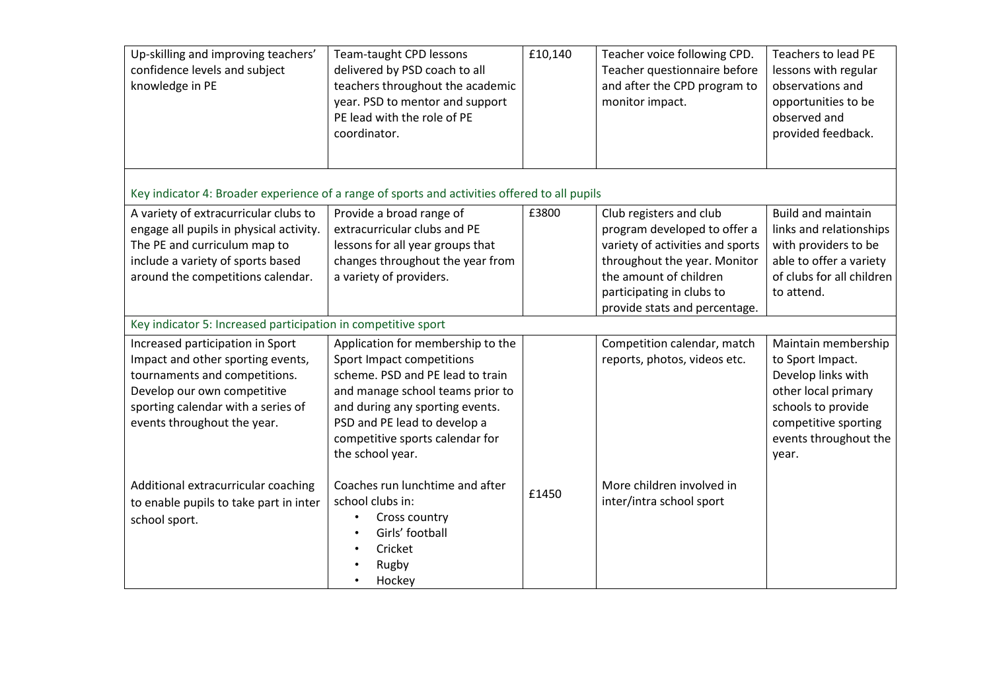| Up-skilling and improving teachers'<br>confidence levels and subject<br>knowledge in PE                                                                                                    | Team-taught CPD lessons<br>delivered by PSD coach to all<br>teachers throughout the academic<br>year. PSD to mentor and support<br>PE lead with the role of PE<br>coordinator.                 | £10,140 | Teacher voice following CPD.<br>Teacher questionnaire before<br>and after the CPD program to<br>monitor impact.                                                                                                     | <b>Teachers to lead PE</b><br>lessons with regular<br>observations and<br>opportunities to be<br>observed and<br>provided feedback.                |
|--------------------------------------------------------------------------------------------------------------------------------------------------------------------------------------------|------------------------------------------------------------------------------------------------------------------------------------------------------------------------------------------------|---------|---------------------------------------------------------------------------------------------------------------------------------------------------------------------------------------------------------------------|----------------------------------------------------------------------------------------------------------------------------------------------------|
| Key indicator 4: Broader experience of a range of sports and activities offered to all pupils                                                                                              |                                                                                                                                                                                                |         |                                                                                                                                                                                                                     |                                                                                                                                                    |
| A variety of extracurricular clubs to<br>engage all pupils in physical activity.<br>The PE and curriculum map to<br>include a variety of sports based<br>around the competitions calendar. | Provide a broad range of<br>extracurricular clubs and PE<br>lessons for all year groups that<br>changes throughout the year from<br>a variety of providers.                                    | £3800   | Club registers and club<br>program developed to offer a<br>variety of activities and sports<br>throughout the year. Monitor<br>the amount of children<br>participating in clubs to<br>provide stats and percentage. | <b>Build and maintain</b><br>links and relationships<br>with providers to be<br>able to offer a variety<br>of clubs for all children<br>to attend. |
| Key indicator 5: Increased participation in competitive sport                                                                                                                              |                                                                                                                                                                                                |         |                                                                                                                                                                                                                     |                                                                                                                                                    |
| Increased participation in Sport<br>Impact and other sporting events,                                                                                                                      | Application for membership to the<br>Sport Impact competitions                                                                                                                                 |         | Competition calendar, match<br>reports, photos, videos etc.                                                                                                                                                         | Maintain membership<br>to Sport Impact.                                                                                                            |
| tournaments and competitions.<br>Develop our own competitive<br>sporting calendar with a series of<br>events throughout the year.                                                          | scheme. PSD and PE lead to train<br>and manage school teams prior to<br>and during any sporting events.<br>PSD and PE lead to develop a<br>competitive sports calendar for<br>the school year. |         |                                                                                                                                                                                                                     | Develop links with<br>other local primary<br>schools to provide<br>competitive sporting<br>events throughout the<br>year.                          |